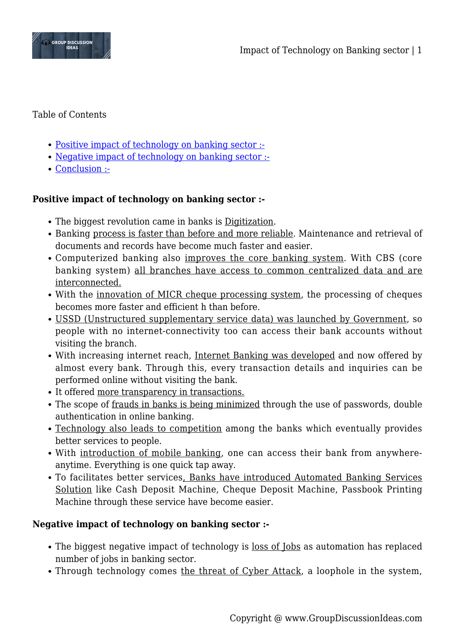

## Table of Contents

- [Positive impact of technology on banking sector :-](#page--1-0)
- [Negative impact of technology on banking sector :-](#page--1-0)
- [Conclusion :-](#page--1-0)

## **Positive impact of technology on banking sector :-**

- The biggest revolution came in banks is Digitization.
- Banking process is faster than before and more reliable. Maintenance and retrieval of documents and records have become much faster and easier.
- Computerized banking also improves the core banking system. With CBS (core banking system) all branches have access to common centralized data and are interconnected.
- With the innovation of MICR cheque processing system, the processing of cheques becomes more faster and efficient h than before.
- USSD (Unstructured supplementary service data) was launched by Government, so people with no internet-connectivity too can access their bank accounts without visiting the branch.
- With increasing internet reach, Internet Banking was developed and now offered by almost every bank. Through this, every transaction details and inquiries can be performed online without visiting the bank.
- It offered more transparency in transactions.
- The scope of frauds in banks is being minimized through the use of passwords, double authentication in online banking.
- Technology also leads to competition among the banks which eventually provides better services to people.
- With introduction of mobile banking, one can access their bank from anywhereanytime. Everything is one quick tap away.
- To facilitates better services, Banks have introduced Automated Banking Services Solution like Cash Deposit Machine, Cheque Deposit Machine, Passbook Printing Machine through these service have become easier.

## **Negative impact of technology on banking sector :-**

- The biggest negative impact of technology is <u>loss of Jobs</u> as automation has replaced number of jobs in banking sector.
- Through technology comes the threat of Cyber Attack, a loophole in the system,